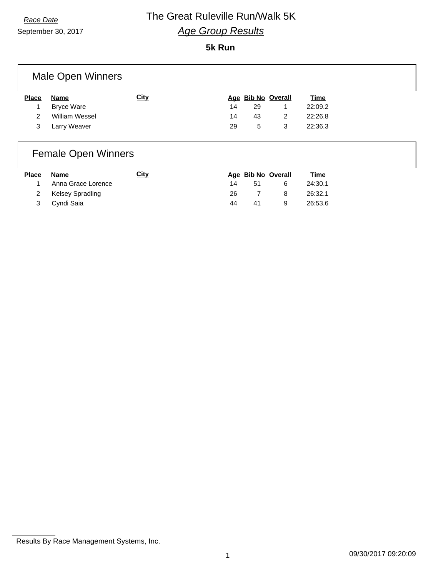September 30, 2017

#### **5k Run**

### Male Open Winners

| <b>Place</b> | Name           | <u>City</u> |    |    | Age Bib No Overall | <u>Time</u> |
|--------------|----------------|-------------|----|----|--------------------|-------------|
|              | Bryce Ware     |             | 14 | 29 |                    | 22:09.2     |
|              | William Wessel |             | 14 | 43 |                    | 22:26.8     |
| 3            | Larry Weaver   |             | 29 | 5  | 3                  | 22:36.3     |
|              |                |             |    |    |                    |             |

### Female Open Winners

| <b>Place</b> | Name               | City |     |    | Age Bib No Overall | <u>Time</u> |
|--------------|--------------------|------|-----|----|--------------------|-------------|
|              | Anna Grace Lorence |      | 14  | 51 |                    | 24:30.1     |
|              | 2 Kelsey Spradling |      | 26. |    | 8                  | 26:32.1     |
| 3            | Cyndi Saia         |      | 44  | 41 |                    | 26:53.6     |

Results By Race Management Systems, Inc.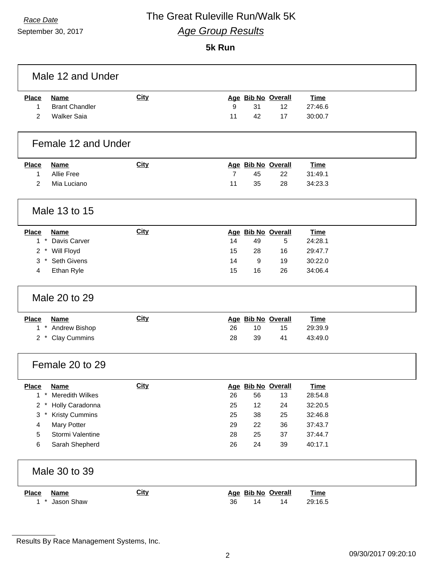September 30, 2017

 $\Gamma$ 

#### **5k Run**

|                | Male 12 and Under      |             |                |                    |    |             |  |
|----------------|------------------------|-------------|----------------|--------------------|----|-------------|--|
| <b>Place</b>   | Name                   | <b>City</b> |                | Age Bib No Overall |    | <b>Time</b> |  |
| $\mathbf{1}$   | <b>Brant Chandler</b>  |             | 9              | 31                 | 12 | 27:46.6     |  |
| 2              | <b>Walker Saia</b>     |             | 11             | 42                 | 17 | 30:00.7     |  |
|                | Female 12 and Under    |             |                |                    |    |             |  |
| <b>Place</b>   | <b>Name</b>            | City        |                | Age Bib No Overall |    | <b>Time</b> |  |
| 1              | <b>Allie Free</b>      |             | $\overline{7}$ | 45                 | 22 | 31:49.1     |  |
| $\overline{2}$ | Mia Luciano            |             | 11             | 35                 | 28 | 34:23.3     |  |
|                | Male 13 to 15          |             |                |                    |    |             |  |
| <b>Place</b>   | <b>Name</b>            | <b>City</b> |                | Age Bib No Overall |    | <b>Time</b> |  |
|                | 1 * Davis Carver       |             | 14             | 49                 | 5  | 24:28.1     |  |
|                | 2 * Will Floyd         |             | 15             | 28                 | 16 | 29:47.7     |  |
| 3              | * Seth Givens          |             | 14             | 9                  | 19 | 30:22.0     |  |
| 4              | Ethan Ryle             |             | 15             | 16                 | 26 | 34:06.4     |  |
|                | Male 20 to 29          |             |                |                    |    |             |  |
| <b>Place</b>   | <b>Name</b>            | <b>City</b> |                | Age Bib No Overall |    | <b>Time</b> |  |
|                | 1 * Andrew Bishop      |             | 26             | 10                 | 15 | 29:39.9     |  |
|                | 2 * Clay Cummins       |             | 28             | 39                 | 41 | 43:49.0     |  |
|                | Female 20 to 29        |             |                |                    |    |             |  |
| <b>Place</b>   | <b>Name</b>            | City        |                | Age Bib No Overall |    | <b>Time</b> |  |
| $^\star$<br>1  | <b>Meredith Wilkes</b> |             | 26             | 56                 | 13 | 28:54.8     |  |
| $2 *$          | Holly Caradonna        |             | 25             | 12                 | 24 | 32:20.5     |  |
| 3              | <b>Kristy Cummins</b>  |             | 25             | 38                 | 25 | 32:46.8     |  |
| 4              | Mary Potter            |             | 29             | 22                 | 36 | 37:43.7     |  |
| 5              | Stormi Valentine       |             | 28             | 25                 | 37 | 37:44.7     |  |
| 6              | Sarah Shepherd         |             | 26             | 24                 | 39 | 40:17.1     |  |
|                | Male 30 to 39          |             |                |                    |    |             |  |
| <b>Place</b>   | <b>Name</b>            | <b>City</b> |                | Age Bib No Overall |    | <b>Time</b> |  |
| $1 *$          | Jason Shaw             |             | 36             | 14                 | 14 | 29:16.5     |  |

Results By Race Management Systems, Inc.

٦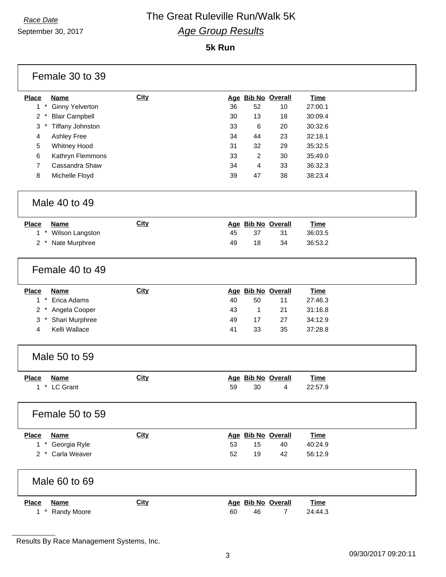September 30, 2017

### **5k Run**

| Female 30 to 39                              |             |                            |             |
|----------------------------------------------|-------------|----------------------------|-------------|
| <b>Place</b><br><b>Name</b>                  | <b>City</b> | Age Bib No Overall         | <b>Time</b> |
| $1 *$<br><b>Ginny Yelverton</b>              |             | 36<br>52<br>10             | 27:00.1     |
| $2 *$<br><b>Blair Campbell</b>               |             | 30<br>13<br>18             | 30:09.4     |
| $\mathbf{3}$<br>Tiffany Johnston<br>$^\star$ |             | 33<br>6<br>20              | 30:32.6     |
| 4<br>Ashley Free                             |             | 34<br>44<br>23             | 32:18.1     |
| 5<br><b>Whitney Hood</b>                     |             | 31<br>32<br>29             | 35:32.5     |
| 6<br>Kathryn Flemmons                        |             | 33<br>2<br>30              | 35:49.0     |
| $\overline{7}$<br>Cassandra Shaw             |             | 33<br>34<br>4              | 36:32.3     |
| 8<br>Michelle Floyd                          |             | 39<br>47<br>38             | 38:23.4     |
| Male 40 to 49                                |             |                            |             |
| <b>Place</b><br><b>Name</b>                  | <b>City</b> | Age Bib No Overall         | <b>Time</b> |
| 1 * Wilson Langston                          |             | 45<br>37<br>31             | 36:03.5     |
| Nate Murphree<br>$2^*$                       |             | 49<br>18<br>34             | 36:53.2     |
| Female 40 to 49                              |             |                            |             |
| <b>Place</b><br><b>Name</b>                  | <b>City</b> | Age Bib No Overall         | <b>Time</b> |
| $1 *$<br>Erica Adams                         |             | 40<br>50<br>11             | 27:46.3     |
| 2 * Angela Cooper                            |             | $\mathbf{1}$<br>43<br>21   | 31:16.8     |
| $3*$<br>Shari Murphree                       |             | 49<br>27<br>17             | 34:12.9     |
| Kelli Wallace<br>4                           |             | 35<br>41<br>33             | 37:28.8     |
| Male 50 to 59                                |             |                            |             |
| <b>Place</b><br><b>Name</b>                  | <b>City</b> | Age Bib No Overall         | <b>Time</b> |
| 1 * LC Grant                                 |             | 59<br>30<br>4              | 22:57.9     |
| Female 50 to 59                              |             |                            |             |
| <b>Place</b><br><b>Name</b>                  | <b>City</b> | Age Bib No Overall         | <b>Time</b> |
| 1 * Georgia Ryle                             |             | 53<br>15<br>40             | 40:24.9     |
| 2 * Carla Weaver                             |             | 52<br>19<br>42             | 56:12.9     |
| Male 60 to 69                                |             |                            |             |
| Place<br><b>Name</b>                         | <b>City</b> | Age Bib No Overall         | <b>Time</b> |
| Randy Moore<br>$1$ $*$                       |             | 60<br>46<br>$\overline{7}$ | 24:44.3     |

Results By Race Management Systems, Inc.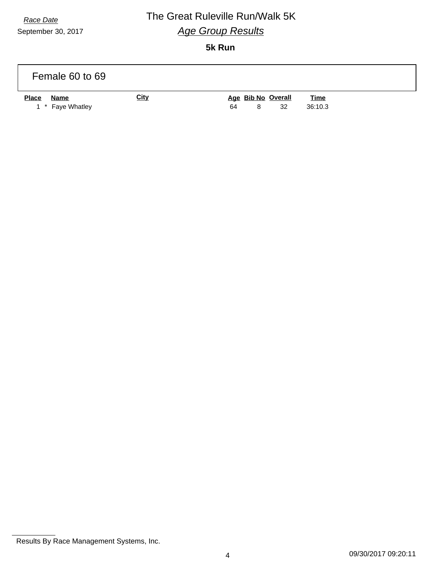September 30, 2017

### *Race Date* The Great Ruleville Run/Walk 5K *Age Group Results* **5k Run**

| Female 60 to 69                                 |             |    |   |                          |                        |  |
|-------------------------------------------------|-------------|----|---|--------------------------|------------------------|--|
| <b>Place</b><br><u>Name</u><br>1 * Faye Whatley | <b>City</b> | 64 | 8 | Age Bib No Overall<br>32 | <b>Time</b><br>36:10.3 |  |

Results By Race Management Systems, Inc.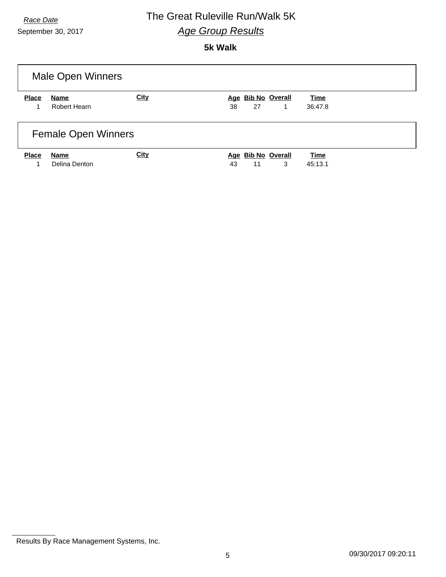September 30, 2017

### **5k Walk**

| <b>Male Open Winners</b>   |                              |             |                                     |                        |  |  |
|----------------------------|------------------------------|-------------|-------------------------------------|------------------------|--|--|
| <b>Place</b><br>1.         | <b>Name</b><br>Robert Hearn  | <b>City</b> | Age Bib No Overall<br>38<br>27<br>1 | <b>Time</b><br>36:47.8 |  |  |
| <b>Female Open Winners</b> |                              |             |                                     |                        |  |  |
| <b>Place</b>               | <b>Name</b><br>Delina Denton | <b>City</b> | Age Bib No Overall<br>3<br>43<br>11 | <b>Time</b><br>45:13.1 |  |  |

Results By Race Management Systems, Inc.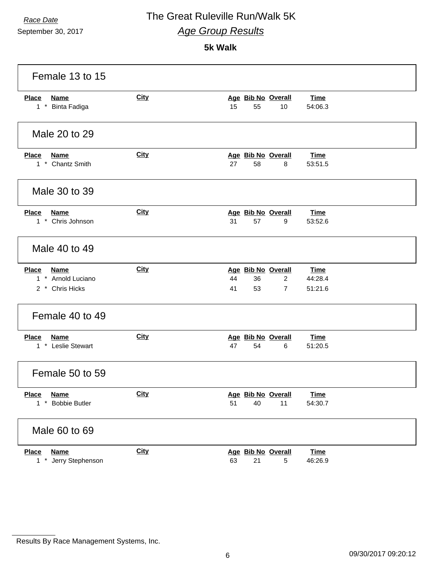September 30, 2017

### **5k Walk**

| Female 13 to 15                                               |             |                                                                                                              |
|---------------------------------------------------------------|-------------|--------------------------------------------------------------------------------------------------------------|
| <b>Place</b><br><b>Name</b><br>1 * Binta Fadiga               | <b>City</b> | Age Bib No Overall<br><b>Time</b><br>15<br>55<br>10<br>54:06.3                                               |
| Male 20 to 29                                                 |             |                                                                                                              |
| <b>Place</b><br><b>Name</b><br>1 * Chantz Smith               | <b>City</b> | Age Bib No Overall<br><b>Time</b><br>27<br>58<br>53:51.5<br>8                                                |
| Male 30 to 39                                                 |             |                                                                                                              |
| <b>Place</b><br><b>Name</b><br>1 * Chris Johnson              | <b>City</b> | Age Bib No Overall<br><b>Time</b><br>31<br>57<br>9<br>53:52.6                                                |
| Male 40 to 49                                                 |             |                                                                                                              |
| Place<br><b>Name</b><br>1 * Arnold Luciano<br>2 * Chris Hicks | <b>City</b> | Age Bib No Overall<br>Time<br>44<br>$\overline{2}$<br>44:28.4<br>36<br>41<br>53<br>$\overline{7}$<br>51:21.6 |
| Female 40 to 49                                               |             |                                                                                                              |
| <b>Place</b><br><b>Name</b><br>1 * Leslie Stewart             | <b>City</b> | Age Bib No Overall<br><b>Time</b><br>47<br>54<br>6<br>51:20.5                                                |
| Female 50 to 59                                               |             |                                                                                                              |
| <b>Place</b><br><b>Name</b><br>$1 *$<br><b>Bobbie Butler</b>  | <b>City</b> | Age Bib No Overall<br><b>Time</b><br>54:30.7<br>51<br>40<br>11                                               |
| Male 60 to 69                                                 |             |                                                                                                              |
| <b>Place</b><br><b>Name</b><br>$1 *$<br>Jerry Stephenson      | <b>City</b> | Age Bib No Overall<br><b>Time</b><br>63<br>21<br>46:26.9<br>5                                                |

Results By Race Management Systems, Inc.